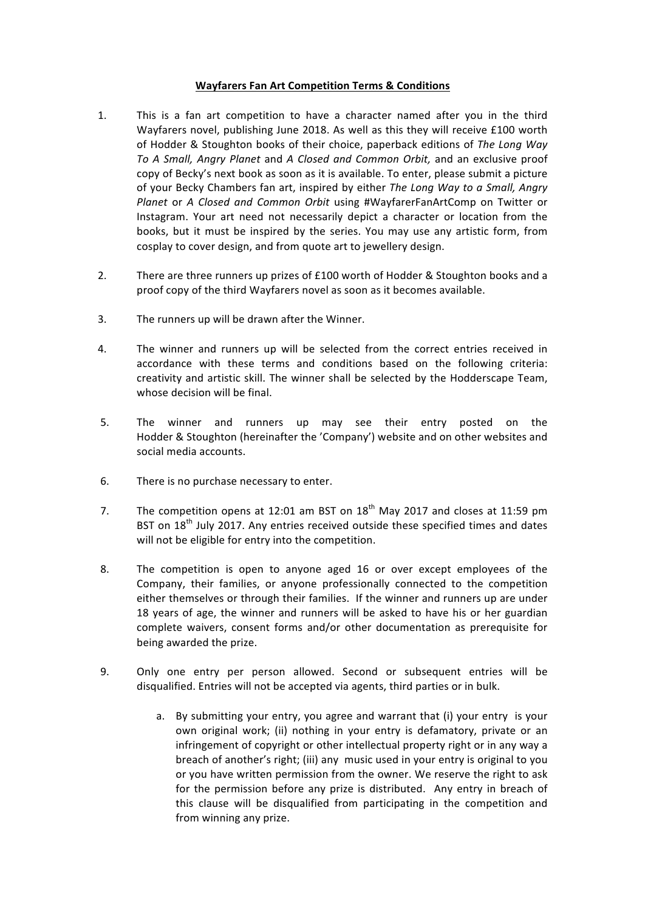## **Wayfarers Fan Art Competition Terms & Conditions**

- 1. This is a fan art competition to have a character named after you in the third Wayfarers novel, publishing June 2018. As well as this they will receive £100 worth of Hodder & Stoughton books of their choice, paperback editions of *The Long Way* To A Small, Angry Planet and A Closed and Common Orbit, and an exclusive proof copy of Becky's next book as soon as it is available. To enter, please submit a picture of your Becky Chambers fan art, inspired by either *The Long Way to a Small, Angry Planet* or *A* Closed and Common Orbit using #WayfarerFanArtComp on Twitter or Instagram. Your art need not necessarily depict a character or location from the books, but it must be inspired by the series. You may use any artistic form, from cosplay to cover design, and from quote art to jewellery design.
- 2. There are three runners up prizes of  $£100$  worth of Hodder & Stoughton books and a proof copy of the third Wayfarers novel as soon as it becomes available.
- 3. The runners up will be drawn after the Winner.
- 4. The winner and runners up will be selected from the correct entries received in accordance with these terms and conditions based on the following criteria: creativity and artistic skill. The winner shall be selected by the Hodderscape Team, whose decision will be final.
- 5. The winner and runners up may see their entry posted on the Hodder & Stoughton (hereinafter the 'Company') website and on other websites and social media accounts.
- 6. There is no purchase necessary to enter.
- 7. The competition opens at 12:01 am BST on  $18<sup>th</sup>$  May 2017 and closes at 11:59 pm BST on  $18<sup>th</sup>$  July 2017. Any entries received outside these specified times and dates will not be eligible for entry into the competition.
- 8. The competition is open to anyone aged 16 or over except employees of the Company, their families, or anyone professionally connected to the competition either themselves or through their families. If the winner and runners up are under 18 years of age, the winner and runners will be asked to have his or her guardian complete waivers, consent forms and/or other documentation as prerequisite for being awarded the prize.
- 9. Only one entry per person allowed. Second or subsequent entries will be disqualified. Entries will not be accepted via agents, third parties or in bulk.
	- a. By submitting your entry, you agree and warrant that (i) your entry is your own original work; (ii) nothing in your entry is defamatory, private or an infringement of copyright or other intellectual property right or in any way a breach of another's right; (iii) any music used in your entry is original to you or you have written permission from the owner. We reserve the right to ask for the permission before any prize is distributed. Any entry in breach of this clause will be disqualified from participating in the competition and from winning any prize.